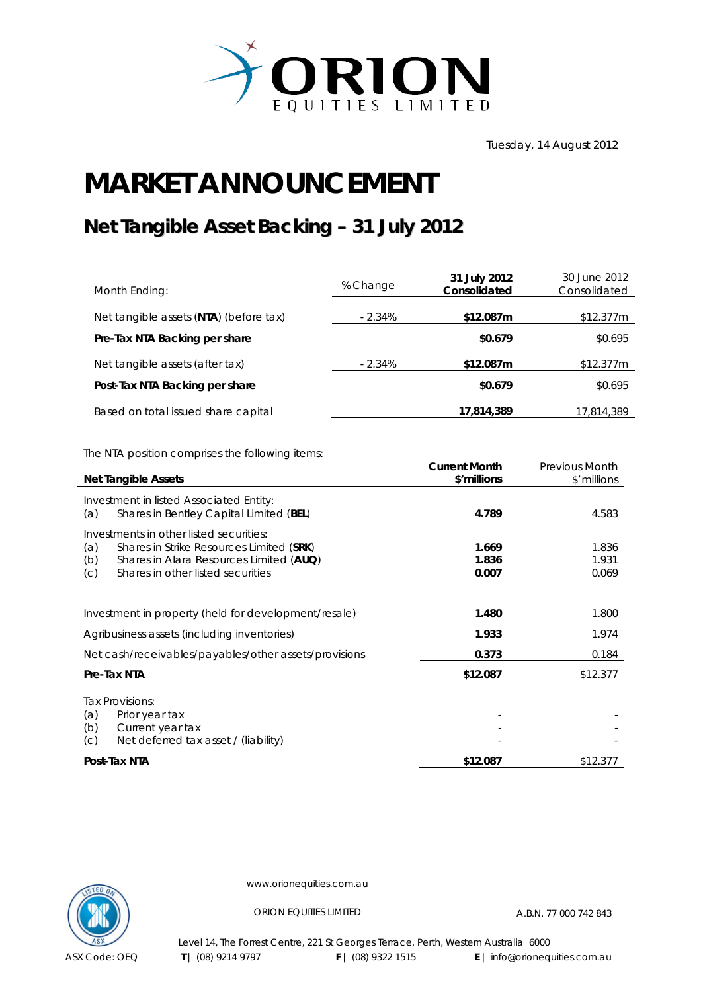

Tuesday, 14 August 2012

## **MARKET ANNOUNCEMENT**

## **Net Tangible Asset Backing – 31 July 2012**

| Month Ending:                          | % Change  | 31 July 2012<br>Consolidated | 30 June 2012<br>Consolidated |
|----------------------------------------|-----------|------------------------------|------------------------------|
| Net tangible assets (NTA) (before tax) | $-2.34\%$ | \$12.087m                    | \$12.377m                    |
| Pre-Tax NTA Backing per share          |           | \$0.679                      | \$0.695                      |
| Net tangible assets (after tax)        | $-2.34\%$ | \$12.087m                    | \$12.377m                    |
| Post-Tax NTA Backing per share         |           | \$0.679                      | \$0.695                      |
| Based on total issued share capital    |           | 17,814,389                   | 17,814,389                   |

The NTA position comprises the following items:

|                                                      | <b>Net Tangible Assets</b>                            | <b>Current Month</b><br>\$'millions | <b>Previous Month</b><br>\$'millions |
|------------------------------------------------------|-------------------------------------------------------|-------------------------------------|--------------------------------------|
|                                                      | Investment in listed Associated Entity:               |                                     |                                      |
| (a)                                                  | Shares in Bentley Capital Limited (BEL)               | 4.789                               | 4.583                                |
|                                                      | Investments in other listed securities:               |                                     |                                      |
| (a)                                                  | Shares in Strike Resources Limited (SRK)              | 1.669                               | 1.836                                |
| (b)                                                  | Shares in Alara Resources Limited (AUQ)               | 1.836                               | 1.931                                |
| (C)                                                  | Shares in other listed securities                     | 0.007                               | 0.069                                |
|                                                      |                                                       |                                     |                                      |
| Investment in property (held for development/resale) |                                                       | 1.480                               | 1.800                                |
|                                                      | Agribusiness assets (including inventories)           | 1.933                               | 1.974                                |
|                                                      | Net cash/receivables/payables/other assets/provisions | 0.373                               | 0.184                                |
|                                                      | Pre-Tax NTA                                           | \$12.087                            | \$12.377                             |
|                                                      | Tax Provisions:                                       |                                     |                                      |
| (a)                                                  | Prior year tax                                        |                                     |                                      |
| (b)                                                  | Current year tax                                      |                                     |                                      |
| (C)                                                  | Net deferred tax asset / (liability)                  |                                     |                                      |
|                                                      | Post-Tax NTA                                          | \$12.087                            | \$12.377                             |



www.orionequities.com.au

ORION EQUITIES LIMITED A.B.N. 77 000 742 843

Level 14, The Forrest Centre, 221 St Georges Terrace, Perth, Western Australia 6000  **T** | (08) 9214 9797 **F** | (08) 9322 1515 **E** | info@orionequities.com.au